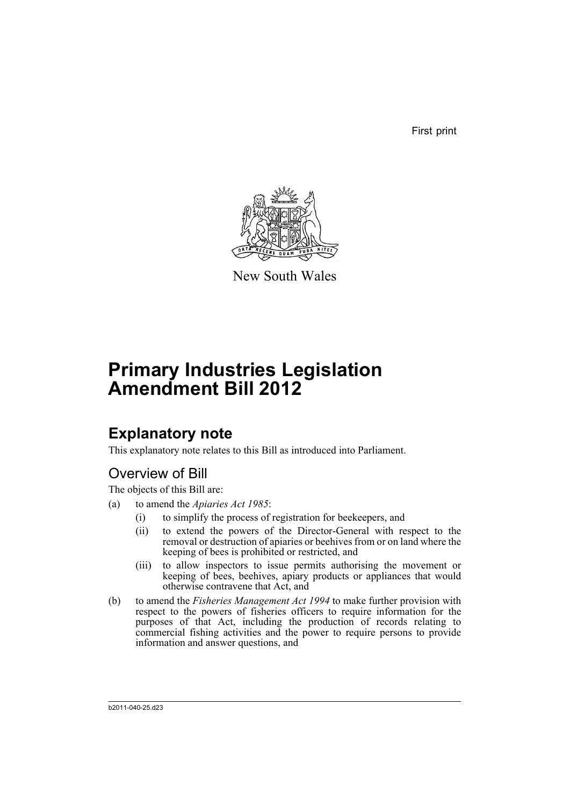First print



New South Wales

# **Primary Industries Legislation Amendment Bill 2012**

## **Explanatory note**

This explanatory note relates to this Bill as introduced into Parliament.

## Overview of Bill

The objects of this Bill are:

- (a) to amend the *Apiaries Act 1985*:
	- (i) to simplify the process of registration for beekeepers, and
	- (ii) to extend the powers of the Director-General with respect to the removal or destruction of apiaries or beehives from or on land where the keeping of bees is prohibited or restricted, and
	- (iii) to allow inspectors to issue permits authorising the movement or keeping of bees, beehives, apiary products or appliances that would otherwise contravene that Act, and
- (b) to amend the *Fisheries Management Act 1994* to make further provision with respect to the powers of fisheries officers to require information for the purposes of that Act, including the production of records relating to commercial fishing activities and the power to require persons to provide information and answer questions, and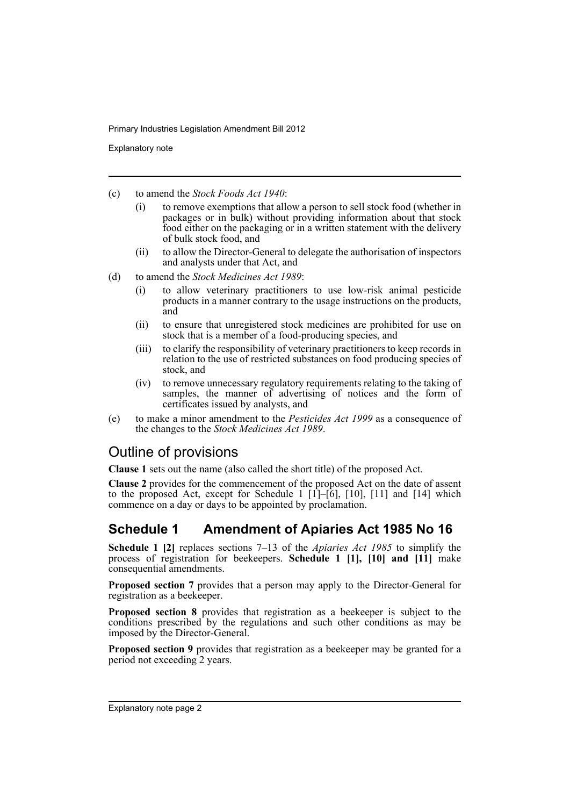Explanatory note

- (c) to amend the *Stock Foods Act 1940*:
	- (i) to remove exemptions that allow a person to sell stock food (whether in packages or in bulk) without providing information about that stock food either on the packaging or in a written statement with the delivery of bulk stock food, and
	- (ii) to allow the Director-General to delegate the authorisation of inspectors and analysts under that Act, and
- (d) to amend the *Stock Medicines Act 1989*:
	- (i) to allow veterinary practitioners to use low-risk animal pesticide products in a manner contrary to the usage instructions on the products, and
	- (ii) to ensure that unregistered stock medicines are prohibited for use on stock that is a member of a food-producing species, and
	- (iii) to clarify the responsibility of veterinary practitioners to keep records in relation to the use of restricted substances on food producing species of stock, and
	- (iv) to remove unnecessary regulatory requirements relating to the taking of samples, the manner of advertising of notices and the form of certificates issued by analysts, and
- (e) to make a minor amendment to the *Pesticides Act 1999* as a consequence of the changes to the *Stock Medicines Act 1989*.

## Outline of provisions

**Clause 1** sets out the name (also called the short title) of the proposed Act.

**Clause 2** provides for the commencement of the proposed Act on the date of assent to the proposed Act, except for Schedule 1  $[1]$ – $[6]$ ,  $[10]$ ,  $[11]$  and  $[14]$  which commence on a day or days to be appointed by proclamation.

## **Schedule 1 Amendment of Apiaries Act 1985 No 16**

**Schedule 1 [2]** replaces sections 7–13 of the *Apiaries Act 1985* to simplify the process of registration for beekeepers. **Schedule 1 [1], [10] and [11]** make consequential amendments.

**Proposed section 7** provides that a person may apply to the Director-General for registration as a beekeeper.

**Proposed section 8** provides that registration as a beekeeper is subject to the conditions prescribed by the regulations and such other conditions as may be imposed by the Director-General.

**Proposed section 9** provides that registration as a beekeeper may be granted for a period not exceeding 2 years.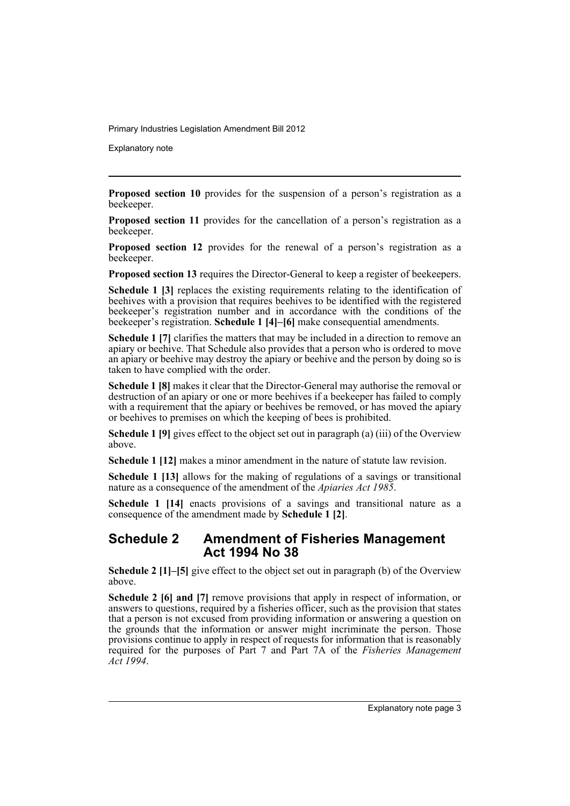Explanatory note

**Proposed section 10** provides for the suspension of a person's registration as a beekeeper.

**Proposed section 11** provides for the cancellation of a person's registration as a beekeeper.

**Proposed section 12** provides for the renewal of a person's registration as a beekeeper.

**Proposed section 13** requires the Director-General to keep a register of beekeepers.

**Schedule 1 [3]** replaces the existing requirements relating to the identification of beehives with a provision that requires beehives to be identified with the registered beekeeper's registration number and in accordance with the conditions of the beekeeper's registration. **Schedule 1 [4]–[6]** make consequential amendments.

**Schedule 1 [7]** clarifies the matters that may be included in a direction to remove an apiary or beehive. That Schedule also provides that a person who is ordered to move an apiary or beehive may destroy the apiary or beehive and the person by doing so is taken to have complied with the order.

**Schedule 1 [8]** makes it clear that the Director-General may authorise the removal or destruction of an apiary or one or more beehives if a beekeeper has failed to comply with a requirement that the apiary or beehives be removed, or has moved the apiary or beehives to premises on which the keeping of bees is prohibited.

**Schedule 1 [9]** gives effect to the object set out in paragraph (a) (iii) of the Overview above.

**Schedule 1 [12]** makes a minor amendment in the nature of statute law revision.

**Schedule 1 [13]** allows for the making of regulations of a savings or transitional nature as a consequence of the amendment of the *Apiaries Act 1985*.

**Schedule 1 [14]** enacts provisions of a savings and transitional nature as a consequence of the amendment made by **Schedule 1 [2]**.

## **Schedule 2 Amendment of Fisheries Management Act 1994 No 38**

**Schedule 2 [1]–[5]** give effect to the object set out in paragraph (b) of the Overview above.

**Schedule 2 [6] and [7]** remove provisions that apply in respect of information, or answers to questions, required by a fisheries officer, such as the provision that states that a person is not excused from providing information or answering a question on the grounds that the information or answer might incriminate the person. Those provisions continue to apply in respect of requests for information that is reasonably required for the purposes of Part 7 and Part 7A of the *Fisheries Management Act 1994*.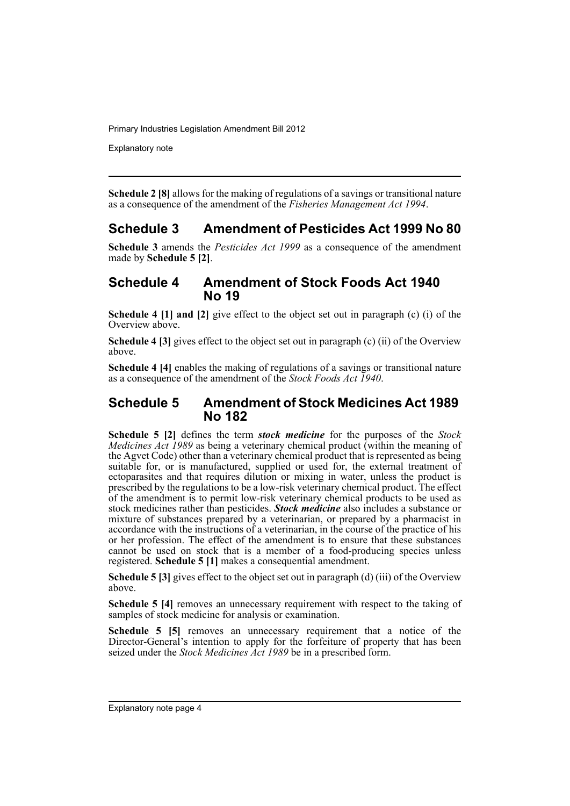Explanatory note

**Schedule 2 [8]** allows for the making of regulations of a savings or transitional nature as a consequence of the amendment of the *Fisheries Management Act 1994*.

## **Schedule 3 Amendment of Pesticides Act 1999 No 80**

**Schedule 3** amends the *Pesticides Act 1999* as a consequence of the amendment made by **Schedule 5 [2]**.

## **Schedule 4 Amendment of Stock Foods Act 1940 No 19**

**Schedule 4 [1] and [2]** give effect to the object set out in paragraph (c) (i) of the Overview above.

**Schedule 4 [3]** gives effect to the object set out in paragraph (c) (ii) of the Overview above.

**Schedule 4 [4]** enables the making of regulations of a savings or transitional nature as a consequence of the amendment of the *Stock Foods Act 1940*.

## **Schedule 5 Amendment of Stock Medicines Act 1989 No 182**

**Schedule 5 [2]** defines the term *stock medicine* for the purposes of the *Stock Medicines Act 1989* as being a veterinary chemical product (within the meaning of the Agvet Code) other than a veterinary chemical product that is represented as being suitable for, or is manufactured, supplied or used for, the external treatment of ectoparasites and that requires dilution or mixing in water, unless the product is prescribed by the regulations to be a low-risk veterinary chemical product. The effect of the amendment is to permit low-risk veterinary chemical products to be used as stock medicines rather than pesticides. *Stock medicine* also includes a substance or mixture of substances prepared by a veterinarian, or prepared by a pharmacist in accordance with the instructions of a veterinarian, in the course of the practice of his or her profession. The effect of the amendment is to ensure that these substances cannot be used on stock that is a member of a food-producing species unless registered. **Schedule 5 [1]** makes a consequential amendment.

**Schedule 5 [3]** gives effect to the object set out in paragraph (d) (iii) of the Overview above.

**Schedule 5 [4]** removes an unnecessary requirement with respect to the taking of samples of stock medicine for analysis or examination.

**Schedule 5 [5]** removes an unnecessary requirement that a notice of the Director-General's intention to apply for the forfeiture of property that has been seized under the *Stock Medicines Act 1989* be in a prescribed form.

Explanatory note page 4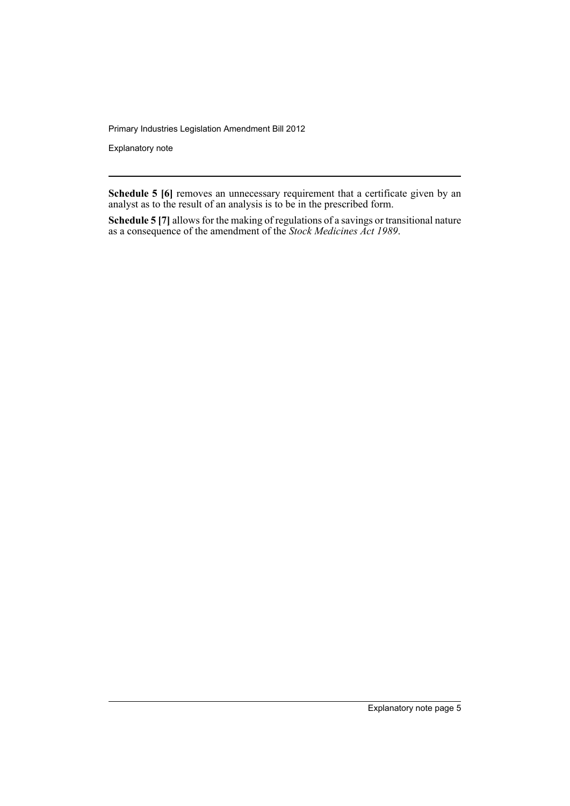Explanatory note

**Schedule 5 [6]** removes an unnecessary requirement that a certificate given by an analyst as to the result of an analysis is to be in the prescribed form.

**Schedule 5 [7]** allows for the making of regulations of a savings or transitional nature as a consequence of the amendment of the *Stock Medicines Act 1989*.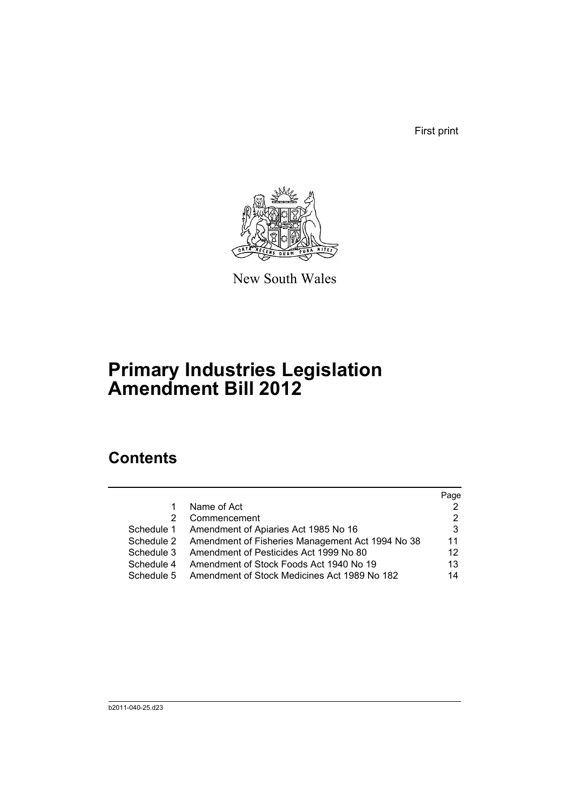First print



New South Wales

# **Primary Industries Legislation Amendment Bill 2012**

## **Contents**

|            |                                                             | Page |
|------------|-------------------------------------------------------------|------|
| 1.         | Name of Act                                                 |      |
| 2          | Commencement                                                |      |
| Schedule 1 | Amendment of Apiaries Act 1985 No 16                        | 3    |
|            | Schedule 2 Amendment of Fisheries Management Act 1994 No 38 | 11   |
| Schedule 3 | Amendment of Pesticides Act 1999 No 80                      | 12   |
| Schedule 4 | Amendment of Stock Foods Act 1940 No 19                     | 13   |
| Schedule 5 | Amendment of Stock Medicines Act 1989 No 182                | 14   |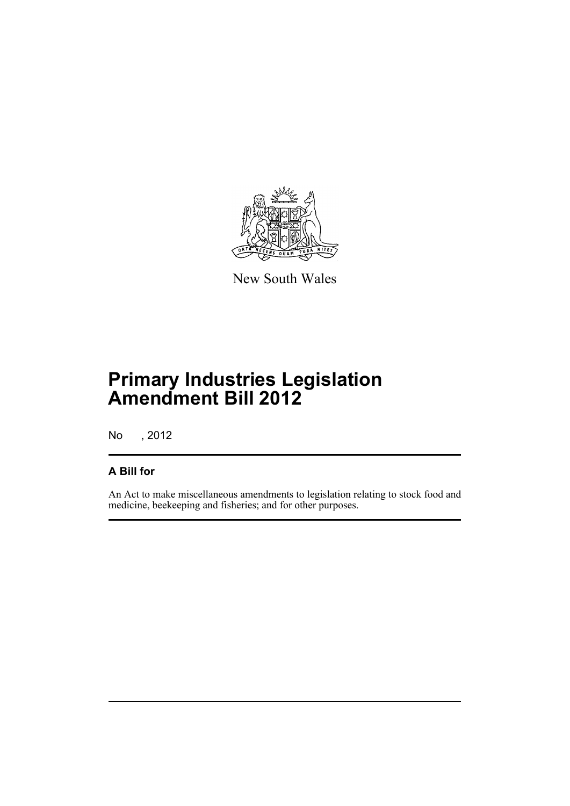

New South Wales

# **Primary Industries Legislation Amendment Bill 2012**

No , 2012

## **A Bill for**

An Act to make miscellaneous amendments to legislation relating to stock food and medicine, beekeeping and fisheries; and for other purposes.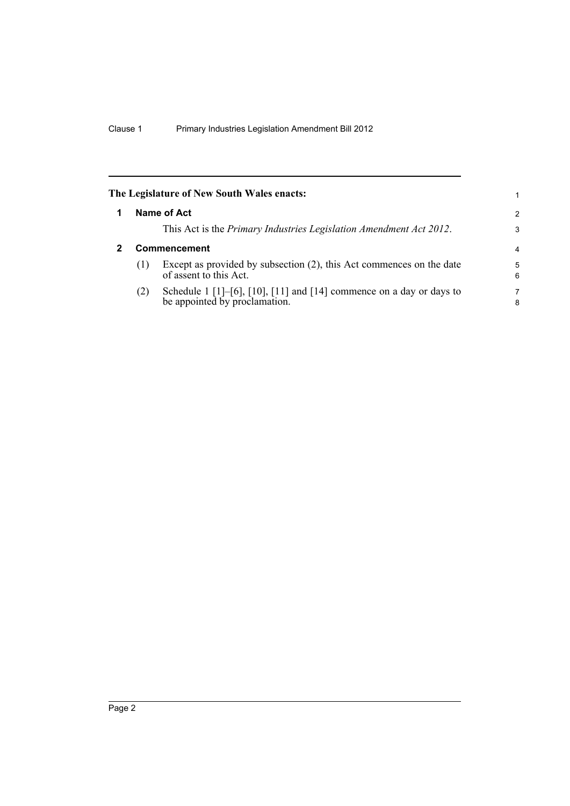<span id="page-9-1"></span><span id="page-9-0"></span>

|   |     | The Legislature of New South Wales enacts:                                                            |                |
|---|-----|-------------------------------------------------------------------------------------------------------|----------------|
| 1 |     | Name of Act                                                                                           | 2              |
|   |     | This Act is the Primary Industries Legislation Amendment Act 2012.                                    | 3              |
| 2 |     | Commencement                                                                                          | $\overline{4}$ |
|   | (1) | Except as provided by subsection (2), this Act commences on the date<br>of assent to this Act.        | 5<br>6         |
|   | (2) | Schedule 1 [1]-[6], [10], [11] and [14] commence on a day or days to<br>be appointed by proclamation. | 7<br>8         |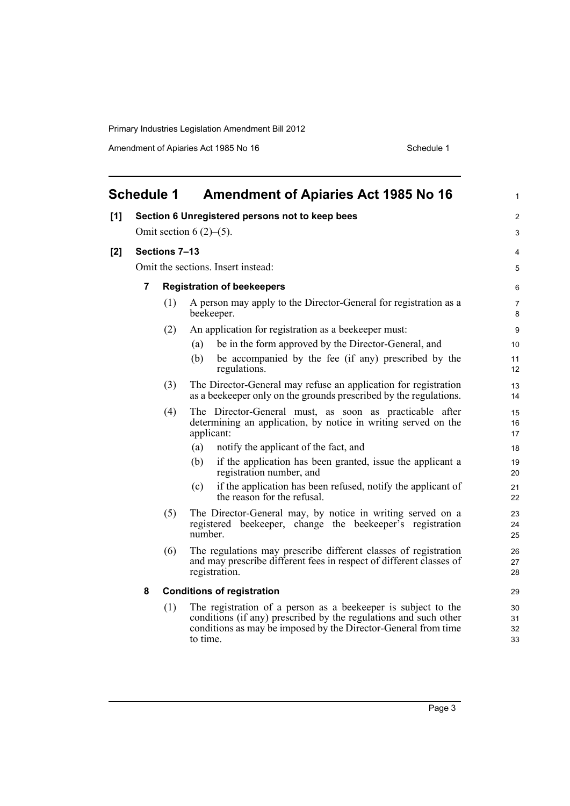<span id="page-10-0"></span>

|     | <b>Schedule 1</b>                  |                                | <b>Amendment of Apiaries Act 1985 No 16</b>                                                                                                                                                                     | 1                    |  |  |  |
|-----|------------------------------------|--------------------------------|-----------------------------------------------------------------------------------------------------------------------------------------------------------------------------------------------------------------|----------------------|--|--|--|
| [1] |                                    |                                | Section 6 Unregistered persons not to keep bees                                                                                                                                                                 | 2                    |  |  |  |
|     |                                    | Omit section 6 $(2)$ – $(5)$ . |                                                                                                                                                                                                                 |                      |  |  |  |
| [2] |                                    | Sections 7-13                  |                                                                                                                                                                                                                 | 4                    |  |  |  |
|     | Omit the sections. Insert instead: |                                |                                                                                                                                                                                                                 |                      |  |  |  |
|     | 7                                  |                                | <b>Registration of beekeepers</b>                                                                                                                                                                               | 6                    |  |  |  |
|     |                                    | (1)                            | A person may apply to the Director-General for registration as a<br>beekeeper.                                                                                                                                  | $\overline{7}$<br>8  |  |  |  |
|     |                                    | (2)                            | An application for registration as a beekeeper must:                                                                                                                                                            | 9                    |  |  |  |
|     |                                    |                                | be in the form approved by the Director-General, and<br>(a)                                                                                                                                                     | 10                   |  |  |  |
|     |                                    |                                | be accompanied by the fee (if any) prescribed by the<br>(b)<br>regulations.                                                                                                                                     | 11<br>12             |  |  |  |
|     |                                    | (3)                            | The Director-General may refuse an application for registration<br>as a beekeeper only on the grounds prescribed by the regulations.                                                                            | 13<br>14             |  |  |  |
|     |                                    | (4)                            | The Director-General must, as soon as practicable after<br>determining an application, by notice in writing served on the<br>applicant:                                                                         | 15<br>16<br>17       |  |  |  |
|     |                                    |                                | (a)<br>notify the applicant of the fact, and                                                                                                                                                                    | 18                   |  |  |  |
|     |                                    |                                | if the application has been granted, issue the applicant a<br>(b)<br>registration number, and                                                                                                                   | 19<br>20             |  |  |  |
|     |                                    |                                | if the application has been refused, notify the applicant of<br>(c)<br>the reason for the refusal.                                                                                                              | 21<br>22             |  |  |  |
|     |                                    | (5)                            | The Director-General may, by notice in writing served on a<br>registered beekeeper, change the beekeeper's registration<br>number.                                                                              | 23<br>24<br>25       |  |  |  |
|     |                                    | (6)                            | The regulations may prescribe different classes of registration<br>and may prescribe different fees in respect of different classes of<br>registration.                                                         | 26<br>27<br>28       |  |  |  |
|     | 8                                  |                                | <b>Conditions of registration</b>                                                                                                                                                                               | 29                   |  |  |  |
|     |                                    | (1)                            | The registration of a person as a beekeeper is subject to the<br>conditions (if any) prescribed by the regulations and such other<br>conditions as may be imposed by the Director-General from time<br>to time. | 30<br>31<br>32<br>33 |  |  |  |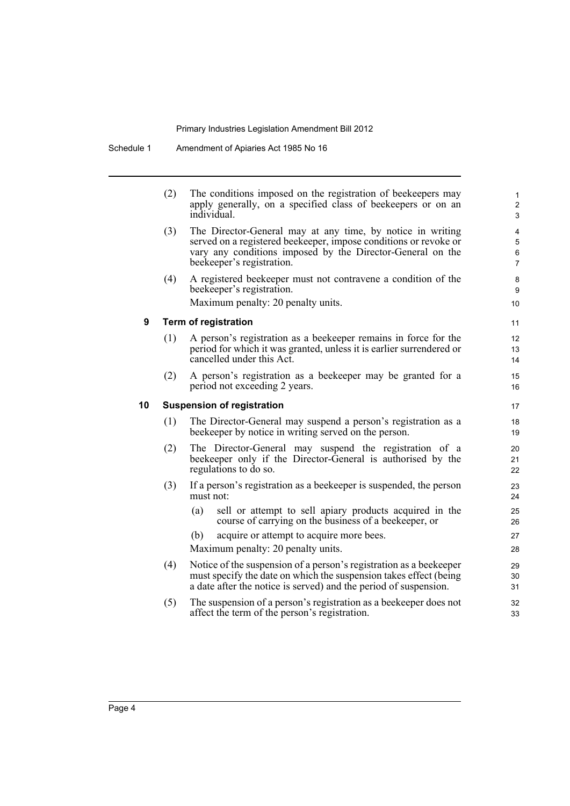|    | (2) | The conditions imposed on the registration of beekeepers may<br>apply generally, on a specified class of beekeepers or on an<br>individual                                                                                | $\mathbf{1}$<br>$\overline{\mathbf{c}}$<br>3 |
|----|-----|---------------------------------------------------------------------------------------------------------------------------------------------------------------------------------------------------------------------------|----------------------------------------------|
|    | (3) | The Director-General may at any time, by notice in writing<br>served on a registered beekeeper, impose conditions or revoke or<br>vary any conditions imposed by the Director-General on the<br>beekeeper's registration. | 4<br>$\sqrt{5}$<br>6<br>$\overline{7}$       |
|    | (4) | A registered beekeeper must not contravene a condition of the<br>beekeeper's registration.<br>Maximum penalty: 20 penalty units.                                                                                          | 8<br>9<br>10                                 |
| 9  |     | Term of registration                                                                                                                                                                                                      | 11                                           |
|    | (1) | A person's registration as a beekeeper remains in force for the<br>period for which it was granted, unless it is earlier surrendered or<br>cancelled under this Act.                                                      | 12<br>13<br>14                               |
|    | (2) | A person's registration as a beekeeper may be granted for a<br>period not exceeding 2 years.                                                                                                                              | 15<br>16                                     |
| 10 |     | <b>Suspension of registration</b>                                                                                                                                                                                         | 17                                           |
|    | (1) | The Director-General may suspend a person's registration as a<br>beekeeper by notice in writing served on the person.                                                                                                     | 18<br>19                                     |
|    | (2) | The Director-General may suspend the registration of a<br>beekeeper only if the Director-General is authorised by the<br>regulations to do so.                                                                            | 20<br>21<br>22                               |
|    | (3) | If a person's registration as a beekeeper is suspended, the person<br>must not:                                                                                                                                           | 23<br>24                                     |
|    |     | sell or attempt to sell apiary products acquired in the<br>(a)<br>course of carrying on the business of a beekeeper, or                                                                                                   | 25<br>26                                     |
|    |     | acquire or attempt to acquire more bees.<br>(b)                                                                                                                                                                           | 27                                           |
|    |     | Maximum penalty: 20 penalty units.                                                                                                                                                                                        | 28                                           |
|    | (4) | Notice of the suspension of a person's registration as a beekeeper<br>must specify the date on which the suspension takes effect (being<br>a date after the notice is served) and the period of suspension.               | 29<br>30<br>31                               |
|    | (5) | The suspension of a person's registration as a beekeeper does not<br>affect the term of the person's registration.                                                                                                        | 32<br>33                                     |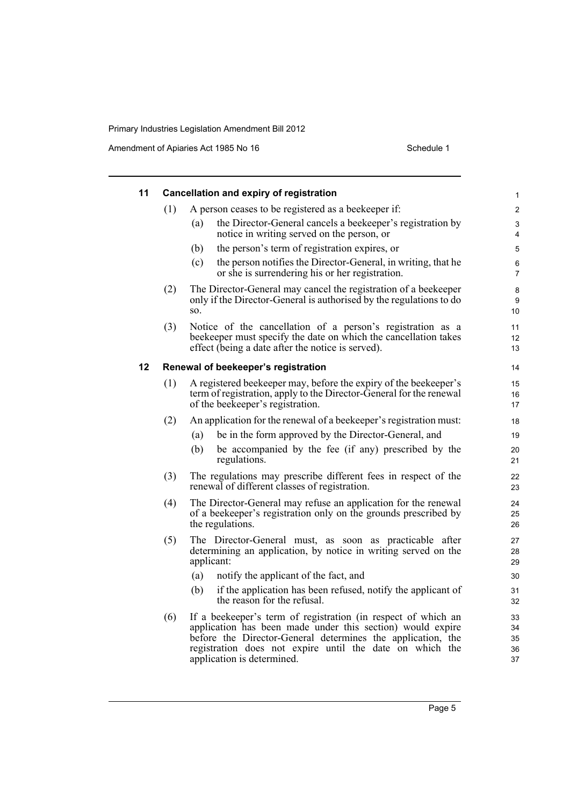| 11 |     | <b>Cancellation and expiry of registration</b>                                                                                                                                                                                                                                       | 1                          |
|----|-----|--------------------------------------------------------------------------------------------------------------------------------------------------------------------------------------------------------------------------------------------------------------------------------------|----------------------------|
|    | (1) | A person ceases to be registered as a beekeeper if:                                                                                                                                                                                                                                  | $\overline{2}$             |
|    |     | the Director-General cancels a beekeeper's registration by<br>(a)<br>notice in writing served on the person, or                                                                                                                                                                      | 3<br>4                     |
|    |     | the person's term of registration expires, or<br>(b)                                                                                                                                                                                                                                 | 5                          |
|    |     | (c)<br>the person notifies the Director-General, in writing, that he<br>or she is surrendering his or her registration.                                                                                                                                                              | 6<br>$\overline{7}$        |
|    | (2) | The Director-General may cancel the registration of a beekeeper<br>only if the Director-General is authorised by the regulations to do<br>SO.                                                                                                                                        | 8<br>9<br>10               |
|    | (3) | Notice of the cancellation of a person's registration as a<br>beekeeper must specify the date on which the cancellation takes<br>effect (being a date after the notice is served).                                                                                                   | 11<br>12<br>13             |
| 12 |     | Renewal of beekeeper's registration                                                                                                                                                                                                                                                  | 14                         |
|    | (1) | A registered beekeeper may, before the expiry of the beekeeper's<br>term of registration, apply to the Director-General for the renewal<br>of the beekeeper's registration.                                                                                                          | 15<br>16<br>17             |
|    | (2) | An application for the renewal of a beekeeper's registration must:                                                                                                                                                                                                                   | 18                         |
|    |     | be in the form approved by the Director-General, and<br>(a)                                                                                                                                                                                                                          | 19                         |
|    |     | (b)<br>be accompanied by the fee (if any) prescribed by the<br>regulations.                                                                                                                                                                                                          | 20<br>21                   |
|    | (3) | The regulations may prescribe different fees in respect of the<br>renewal of different classes of registration.                                                                                                                                                                      | 22<br>23                   |
|    | (4) | The Director-General may refuse an application for the renewal<br>of a beekeeper's registration only on the grounds prescribed by<br>the regulations.                                                                                                                                | 24<br>25<br>26             |
|    | (5) | The Director-General must, as soon as practicable after<br>determining an application, by notice in writing served on the<br>applicant:                                                                                                                                              | 27<br>28<br>29             |
|    |     | notify the applicant of the fact, and<br>(a)                                                                                                                                                                                                                                         | 30                         |
|    |     | if the application has been refused, notify the applicant of<br>(b)<br>the reason for the refusal.                                                                                                                                                                                   | 31<br>32                   |
|    | (6) | If a beekeeper's term of registration (in respect of which an<br>application has been made under this section) would expire<br>before the Director-General determines the application, the<br>registration does not expire until the date on which the<br>application is determined. | 33<br>34<br>35<br>36<br>37 |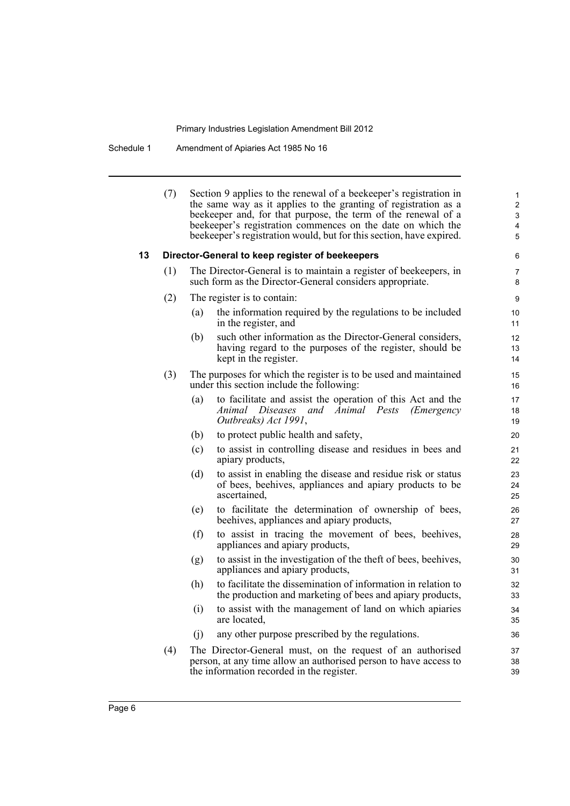Schedule 1 Amendment of Apiaries Act 1985 No 16

|    | (7) |     | Section 9 applies to the renewal of a beekeeper's registration in<br>the same way as it applies to the granting of registration as a<br>beekeeper and, for that purpose, the term of the renewal of a<br>beekeeper's registration commences on the date on which the<br>beekeeper's registration would, but for this section, have expired. | 1<br>$\overline{2}$<br>3<br>$\overline{4}$<br>5 |
|----|-----|-----|---------------------------------------------------------------------------------------------------------------------------------------------------------------------------------------------------------------------------------------------------------------------------------------------------------------------------------------------|-------------------------------------------------|
| 13 |     |     | Director-General to keep register of beekeepers                                                                                                                                                                                                                                                                                             | 6                                               |
|    | (1) |     | The Director-General is to maintain a register of beekeepers, in<br>such form as the Director-General considers appropriate.                                                                                                                                                                                                                | $\overline{7}$<br>8                             |
|    | (2) |     | The register is to contain:                                                                                                                                                                                                                                                                                                                 | 9                                               |
|    |     | (a) | the information required by the regulations to be included<br>in the register, and                                                                                                                                                                                                                                                          | 10<br>11                                        |
|    |     | (b) | such other information as the Director-General considers,<br>having regard to the purposes of the register, should be<br>kept in the register.                                                                                                                                                                                              | 12<br>13<br>14                                  |
|    | (3) |     | The purposes for which the register is to be used and maintained<br>under this section include the following:                                                                                                                                                                                                                               | 15<br>16                                        |
|    |     | (a) | to facilitate and assist the operation of this Act and the<br>Animal Diseases and Animal Pests<br>( <i>Emergency</i><br>Outbreaks) Act 1991,                                                                                                                                                                                                | 17<br>18<br>19                                  |
|    |     | (b) | to protect public health and safety,                                                                                                                                                                                                                                                                                                        | 20                                              |
|    |     | (c) | to assist in controlling disease and residues in bees and<br>apiary products,                                                                                                                                                                                                                                                               | 21<br>22                                        |
|    |     | (d) | to assist in enabling the disease and residue risk or status<br>of bees, beehives, appliances and apiary products to be<br>ascertained,                                                                                                                                                                                                     | 23<br>24<br>25                                  |
|    |     | (e) | to facilitate the determination of ownership of bees,<br>beehives, appliances and apiary products,                                                                                                                                                                                                                                          | 26<br>27                                        |
|    |     | (f) | to assist in tracing the movement of bees, beehives,<br>appliances and apiary products,                                                                                                                                                                                                                                                     | 28<br>29                                        |
|    |     | (g) | to assist in the investigation of the theft of bees, beehives,<br>appliances and apiary products,                                                                                                                                                                                                                                           | 30<br>31                                        |
|    |     | (h) | to facilitate the dissemination of information in relation to<br>the production and marketing of bees and apiary products,                                                                                                                                                                                                                  | 32<br>33                                        |
|    |     | (i) | to assist with the management of land on which apiaries<br>are located.                                                                                                                                                                                                                                                                     | 34<br>35                                        |
|    |     | (i) | any other purpose prescribed by the regulations.                                                                                                                                                                                                                                                                                            | 36                                              |
|    | (4) |     | The Director-General must, on the request of an authorised<br>person, at any time allow an authorised person to have access to<br>the information recorded in the register.                                                                                                                                                                 | 37<br>38<br>39                                  |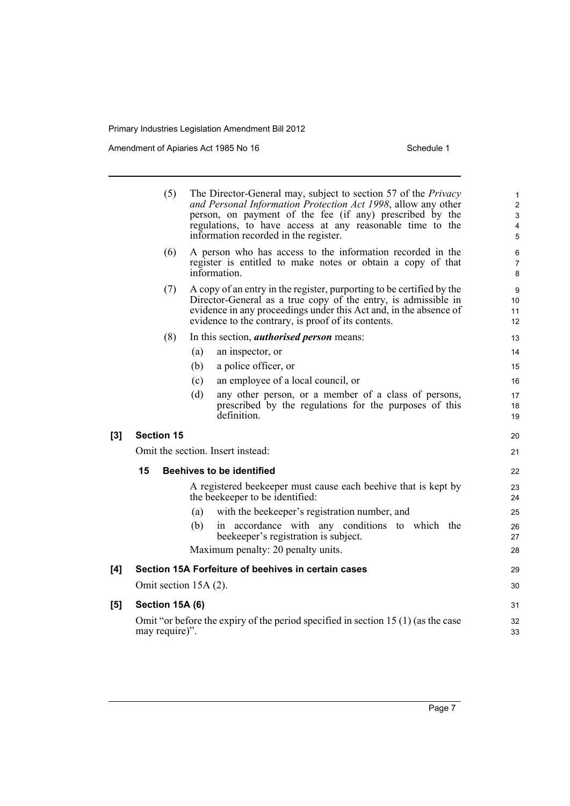|          | (5)                   |     | The Director-General may, subject to section 57 of the <i>Privacy</i><br>and Personal Information Protection Act 1998, allow any other<br>person, on payment of the fee (if any) prescribed by the<br>regulations, to have access at any reasonable time to the<br>information recorded in the register. | 1<br>$\overline{\mathbf{c}}$<br>3<br>4<br>5 |
|----------|-----------------------|-----|----------------------------------------------------------------------------------------------------------------------------------------------------------------------------------------------------------------------------------------------------------------------------------------------------------|---------------------------------------------|
|          | (6)                   |     | A person who has access to the information recorded in the<br>register is entitled to make notes or obtain a copy of that<br>information.                                                                                                                                                                | 6<br>7<br>8                                 |
|          | (7)                   |     | A copy of an entry in the register, purporting to be certified by the<br>Director-General as a true copy of the entry, is admissible in<br>evidence in any proceedings under this Act and, in the absence of<br>evidence to the contrary, is proof of its contents.                                      | 9<br>10<br>11<br>12                         |
|          | (8)                   |     | In this section, <i>authorised person</i> means:                                                                                                                                                                                                                                                         | 13                                          |
|          |                       | (a) | an inspector, or                                                                                                                                                                                                                                                                                         | 14                                          |
|          |                       | (b) | a police officer, or                                                                                                                                                                                                                                                                                     | 15                                          |
|          |                       | (c) | an employee of a local council, or                                                                                                                                                                                                                                                                       | 16                                          |
|          |                       | (d) | any other person, or a member of a class of persons,<br>prescribed by the regulations for the purposes of this<br>definition.                                                                                                                                                                            | 17<br>18<br>19                              |
| $^{[3]}$ | <b>Section 15</b>     |     |                                                                                                                                                                                                                                                                                                          | 20                                          |
|          |                       |     | Omit the section. Insert instead:                                                                                                                                                                                                                                                                        | 21                                          |
|          | 15                    |     | <b>Beehives to be identified</b>                                                                                                                                                                                                                                                                         | 22                                          |
|          |                       |     | A registered beekeeper must cause each beenive that is kept by<br>the beekeeper to be identified:                                                                                                                                                                                                        | 23<br>24                                    |
|          |                       | (a) | with the beekeeper's registration number, and                                                                                                                                                                                                                                                            | 25                                          |
|          |                       | (b) | in accordance with any conditions to which the<br>beekeeper's registration is subject.                                                                                                                                                                                                                   | 26<br>27                                    |
|          |                       |     | Maximum penalty: 20 penalty units.                                                                                                                                                                                                                                                                       | 28                                          |
| [4]      |                       |     | Section 15A Forfeiture of beehives in certain cases                                                                                                                                                                                                                                                      | 29                                          |
|          | Omit section 15A (2). |     |                                                                                                                                                                                                                                                                                                          | 30                                          |
| [5]      | Section 15A (6)       |     |                                                                                                                                                                                                                                                                                                          | 31                                          |
|          | may require)".        |     | Omit "or before the expiry of the period specified in section 15 $(1)$ (as the case                                                                                                                                                                                                                      | 32<br>33                                    |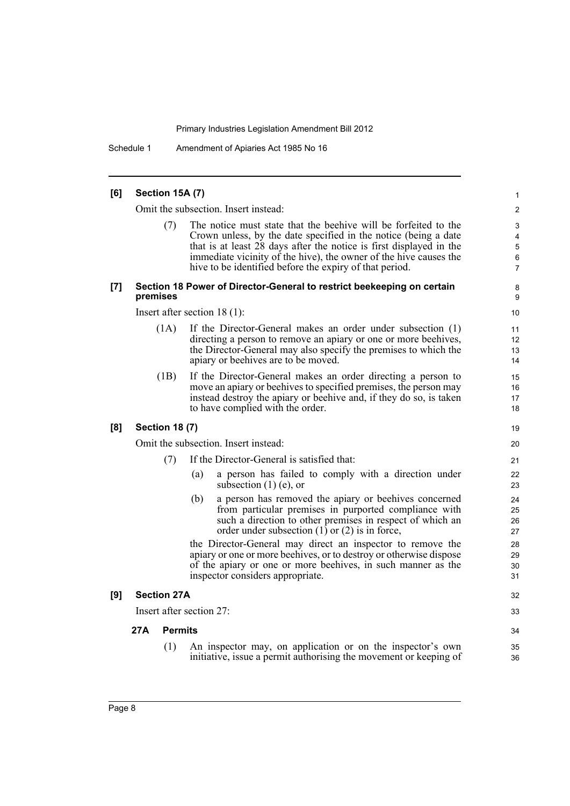Schedule 1 Amendment of Apiaries Act 1985 No 16

#### **[6] Section 15A (7)** 1 Omit the subsection. Insert instead: 2 (7) 6 5 4 The notice must state that the beehive will be forfeited to the 3 Crown unless, by the date specified in the notice (being a date that is at least 28 days after the notice is first displayed in the immediate vicinity of the hive), the owner of the hive causes the hive to be identified before the expiry of that period. **[7] Section 18 Power of Director-General to restrict beekeeping on certain** 8 **premises** 9 Insert after section 18 (1): 10 (1A) 13 12 If the Director-General makes an order under subsection (1) 11 directing a person to remove an apiary or one or more beehives, the Director-General may also specify the premises to which the apiary or beehives are to be moved. 14 (1B) 17 16 If the Director-General makes an order directing a person to 15 move an apiary or beehives to specified premises, the person may instead destroy the apiary or beehive and, if they do so, is taken to have complied with the order. **[8] Section 18 (7)** 19 Omit the subsection. Insert instead: 20 (7) If the Director-General is satisfied that: 21 (a) a person has failed to comply with a direction under 22 subsection  $(1)$  (e), or 23 (b) 26  $30$ 29 28 25 a person has removed the apiary or beehives concerned 24 from particular premises in purported compliance with such a direction to other premises in respect of which an order under subsection  $(1)$  or  $(2)$  is in force, 27 the Director-General may direct an inspector to remove the apiary or one or more beehives, or to destroy or otherwise dispose of the apiary or one or more beehives, in such manner as the inspector considers appropriate. 31 **[9] Section 27A** 32 Insert after section 27: 33 **27A Permits** 34 (1) 36 An inspector may, on application or on the inspector's own 35 initiative, issue a permit authorising the movement or keeping of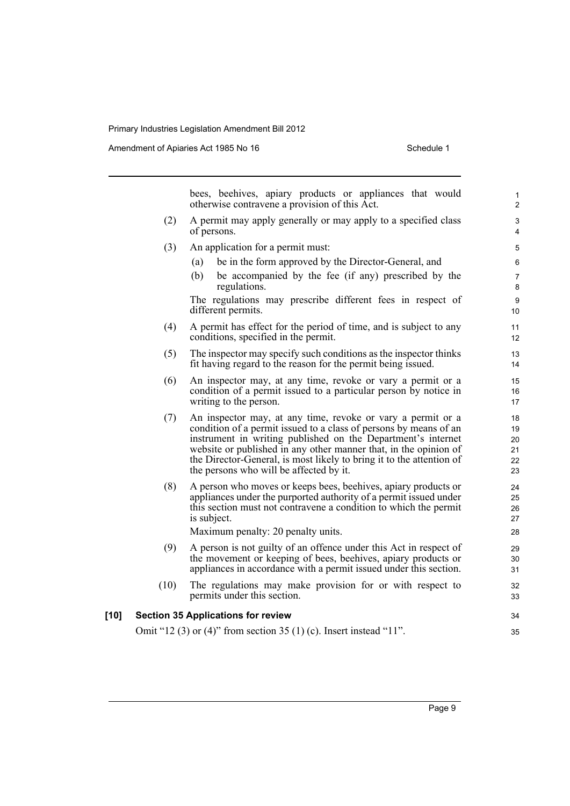|      |      | bees, beehives, apiary products or appliances that would<br>otherwise contravene a provision of this Act.                                                                                                                                                                                                                                                                               | 1<br>$\overline{\mathbf{c}}$     |
|------|------|-----------------------------------------------------------------------------------------------------------------------------------------------------------------------------------------------------------------------------------------------------------------------------------------------------------------------------------------------------------------------------------------|----------------------------------|
|      | (2)  | A permit may apply generally or may apply to a specified class<br>of persons.                                                                                                                                                                                                                                                                                                           | 3<br>4                           |
|      | (3)  | An application for a permit must:                                                                                                                                                                                                                                                                                                                                                       | 5                                |
|      |      | be in the form approved by the Director-General, and<br>(a)                                                                                                                                                                                                                                                                                                                             | 6                                |
|      |      | (b)<br>be accompanied by the fee (if any) prescribed by the<br>regulations.                                                                                                                                                                                                                                                                                                             | 7<br>8                           |
|      |      | The regulations may prescribe different fees in respect of<br>different permits.                                                                                                                                                                                                                                                                                                        | 9<br>10                          |
|      | (4)  | A permit has effect for the period of time, and is subject to any<br>conditions, specified in the permit.                                                                                                                                                                                                                                                                               | 11<br>12                         |
|      | (5)  | The inspector may specify such conditions as the inspector thinks<br>fit having regard to the reason for the permit being issued.                                                                                                                                                                                                                                                       | 13<br>14                         |
|      | (6)  | An inspector may, at any time, revoke or vary a permit or a<br>condition of a permit issued to a particular person by notice in<br>writing to the person.                                                                                                                                                                                                                               | 15<br>16<br>17                   |
|      | (7)  | An inspector may, at any time, revoke or vary a permit or a<br>condition of a permit issued to a class of persons by means of an<br>instrument in writing published on the Department's internet<br>website or published in any other manner that, in the opinion of<br>the Director-General, is most likely to bring it to the attention of<br>the persons who will be affected by it. | 18<br>19<br>20<br>21<br>22<br>23 |
|      | (8)  | A person who moves or keeps bees, beehives, apiary products or<br>appliances under the purported authority of a permit issued under<br>this section must not contravene a condition to which the permit<br>is subject.<br>Maximum penalty: 20 penalty units.                                                                                                                            | 24<br>25<br>26<br>27<br>28       |
|      | (9)  | A person is not guilty of an offence under this Act in respect of<br>the movement or keeping of bees, beehives, apiary products or<br>appliances in accordance with a permit issued under this section.                                                                                                                                                                                 | 29<br>30<br>31                   |
|      | (10) | The regulations may make provision for or with respect to<br>permits under this section.                                                                                                                                                                                                                                                                                                | 32<br>33                         |
| [10] |      | <b>Section 35 Applications for review</b>                                                                                                                                                                                                                                                                                                                                               | 34                               |
|      |      | Omit "12 (3) or (4)" from section 35 (1) (c). Insert instead "11".                                                                                                                                                                                                                                                                                                                      | 35                               |
|      |      |                                                                                                                                                                                                                                                                                                                                                                                         |                                  |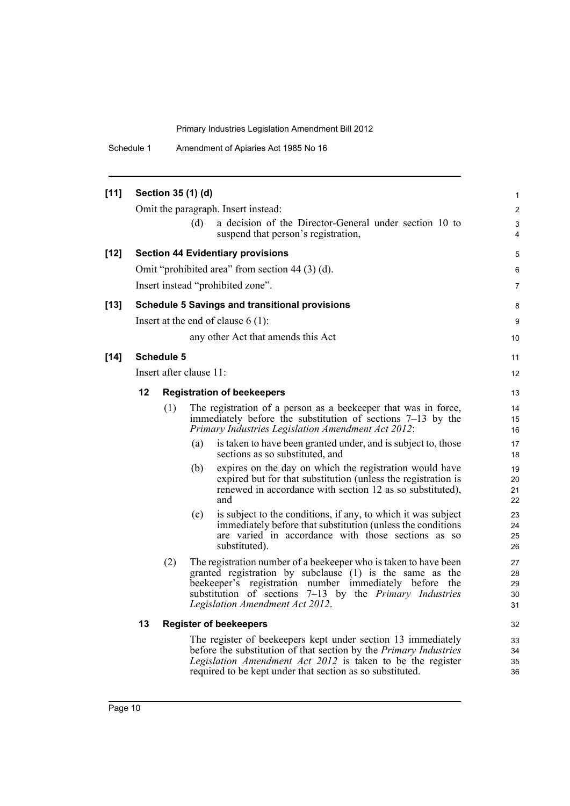Schedule 1 Amendment of Apiaries Act 1985 No 16

| [11]   |    | Section 35 (1) (d)                |     |                                                                                                                                                                                                                                                                                                | $\mathbf{1}$               |  |
|--------|----|-----------------------------------|-----|------------------------------------------------------------------------------------------------------------------------------------------------------------------------------------------------------------------------------------------------------------------------------------------------|----------------------------|--|
|        |    |                                   |     | Omit the paragraph. Insert instead:                                                                                                                                                                                                                                                            | $\overline{2}$             |  |
|        |    |                                   | (d) | a decision of the Director-General under section 10 to<br>suspend that person's registration,                                                                                                                                                                                                  | 3<br>4                     |  |
| $[12]$ |    |                                   |     | <b>Section 44 Evidentiary provisions</b>                                                                                                                                                                                                                                                       | 5                          |  |
|        |    |                                   |     | Omit "prohibited area" from section 44 (3) (d).                                                                                                                                                                                                                                                | 6                          |  |
|        |    |                                   |     | Insert instead "prohibited zone".                                                                                                                                                                                                                                                              | $\overline{7}$             |  |
| $[13]$ |    |                                   |     | <b>Schedule 5 Savings and transitional provisions</b>                                                                                                                                                                                                                                          | 8                          |  |
|        |    |                                   |     | Insert at the end of clause $6(1)$ :                                                                                                                                                                                                                                                           | 9                          |  |
|        |    |                                   |     | any other Act that amends this Act                                                                                                                                                                                                                                                             | 10 <sup>°</sup>            |  |
| $[14]$ |    | Schedule 5                        |     |                                                                                                                                                                                                                                                                                                | 11                         |  |
|        |    | Insert after clause 11:           |     |                                                                                                                                                                                                                                                                                                | 12                         |  |
|        | 12 | <b>Registration of beekeepers</b> |     |                                                                                                                                                                                                                                                                                                |                            |  |
|        |    | (1)                               |     | The registration of a person as a beekeeper that was in force,<br>immediately before the substitution of sections 7–13 by the<br>Primary Industries Legislation Amendment Act 2012:                                                                                                            | 14<br>15<br>16             |  |
|        |    |                                   | (a) | is taken to have been granted under, and is subject to, those<br>sections as so substituted, and                                                                                                                                                                                               | 17<br>18                   |  |
|        |    |                                   | (b) | expires on the day on which the registration would have<br>expired but for that substitution (unless the registration is<br>renewed in accordance with section 12 as so substituted),<br>and                                                                                                   | 19<br>20<br>21<br>22       |  |
|        |    |                                   | (c) | is subject to the conditions, if any, to which it was subject<br>immediately before that substitution (unless the conditions<br>are varied in accordance with those sections as so<br>substituted).                                                                                            | 23<br>24<br>25<br>26       |  |
|        |    | (2)                               |     | The registration number of a beekeeper who is taken to have been<br>granted registration by subclause (1) is the same as the<br>beekeeper's registration number immediately before<br>the<br>substitution of sections 7–13 by the <i>Primary Industries</i><br>Legislation Amendment Act 2012. | 27<br>28<br>29<br>30<br>31 |  |
|        | 13 |                                   |     | <b>Register of beekeepers</b>                                                                                                                                                                                                                                                                  | 32                         |  |
|        |    |                                   |     | The register of beekeepers kept under section 13 immediately<br>before the substitution of that section by the Primary Industries<br>Legislation Amendment Act 2012 is taken to be the register<br>required to be kept under that section as so substituted.                                   | 33<br>34<br>35<br>36       |  |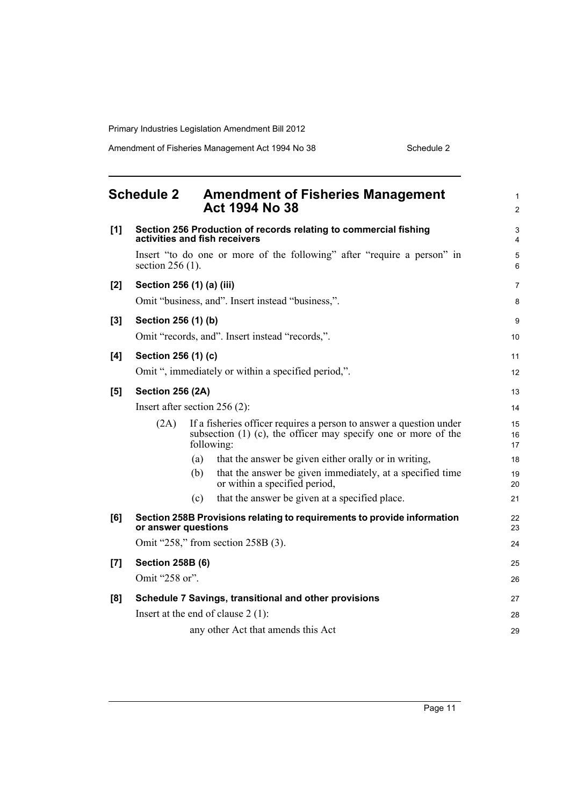<span id="page-18-0"></span>

|       | <b>Schedule 2</b>               |     | <b>Amendment of Fisheries Management</b><br>Act 1994 No 38                                                                                               | 1<br>$\overline{2}$ |
|-------|---------------------------------|-----|----------------------------------------------------------------------------------------------------------------------------------------------------------|---------------------|
| [1]   |                                 |     | Section 256 Production of records relating to commercial fishing<br>activities and fish receivers                                                        | 3<br>4              |
|       | section $256(1)$ .              |     | Insert "to do one or more of the following" after "require a person" in                                                                                  | 5<br>6              |
| [2]   | Section 256 (1) (a) (iii)       |     |                                                                                                                                                          | $\overline{7}$      |
|       |                                 |     | Omit "business, and". Insert instead "business,".                                                                                                        | 8                   |
| $[3]$ | Section 256 (1) (b)             |     |                                                                                                                                                          | 9                   |
|       |                                 |     | Omit "records, and". Insert instead "records,".                                                                                                          | 10                  |
| [4]   | Section 256 (1) (c)             |     |                                                                                                                                                          | 11                  |
|       |                                 |     | Omit ", immediately or within a specified period,".                                                                                                      | 12                  |
| [5]   | <b>Section 256 (2A)</b>         |     |                                                                                                                                                          | 13                  |
|       | Insert after section $256(2)$ : |     |                                                                                                                                                          | 14                  |
|       | (2A)                            |     | If a fisheries officer requires a person to answer a question under<br>subsection $(1)$ $(c)$ , the officer may specify one or more of the<br>following: | 15<br>16<br>17      |
|       |                                 | (a) | that the answer be given either orally or in writing,                                                                                                    | 18                  |
|       |                                 | (b) | that the answer be given immediately, at a specified time<br>or within a specified period,                                                               | 19<br>20            |
|       |                                 | (c) | that the answer be given at a specified place.                                                                                                           | 21                  |
| [6]   | or answer questions             |     | Section 258B Provisions relating to requirements to provide information                                                                                  | 22<br>23            |
|       |                                 |     | Omit "258," from section 258B (3).                                                                                                                       | 24                  |
| [7]   | <b>Section 258B (6)</b>         |     |                                                                                                                                                          | 25                  |
|       | Omit "258 or".                  |     |                                                                                                                                                          | 26                  |
| [8]   |                                 |     | Schedule 7 Savings, transitional and other provisions                                                                                                    | 27                  |
|       |                                 |     | Insert at the end of clause $2(1)$ :                                                                                                                     | 28                  |
|       |                                 |     | any other Act that amends this Act                                                                                                                       | 29                  |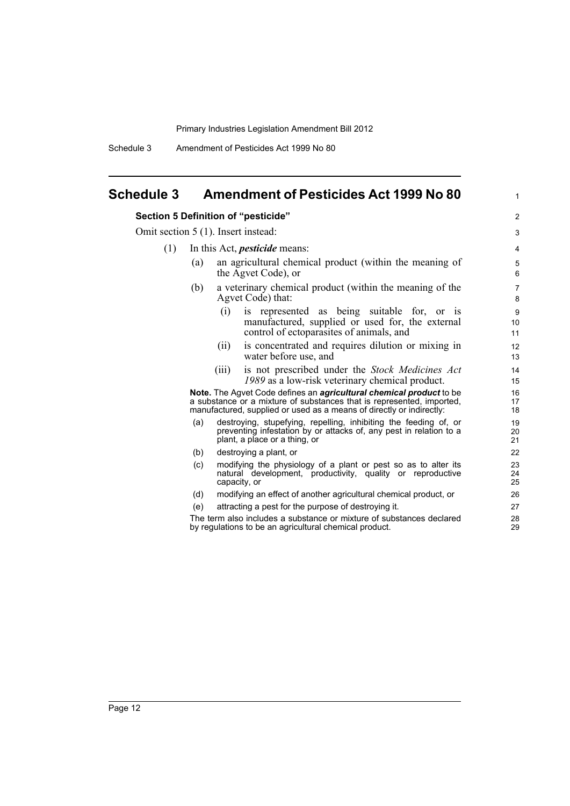Schedule 3 Amendment of Pesticides Act 1999 No 80

## <span id="page-19-0"></span>**Schedule 3 Amendment of Pesticides Act 1999 No 80**

#### **Section 5 Definition of "pesticide"** 2

Omit section 5 (1). Insert instead: 3

- (1) In this Act, *pesticide* means: 4
	- (a) an agricultural chemical product (within the meaning of 5 the Agvet Code), or 6
	- (b) a veterinary chemical product (within the meaning of the 7 Agvet Code) that: 8
		- (i) is represented as being suitable for, or is 9 manufactured, supplied or used for, the external control of ectoparasites of animals, and 11

10

17

20

24

- (ii) is concentrated and requires dilution or mixing in 12 water before use, and 13
- (iii) is not prescribed under the *Stock Medicines Act* 14 *1989* as a low-risk veterinary chemical product. 15

**Note.**  The Agvet Code defines an *agricultural chemical product* to be 16 a substance or a mixture of substances that is represented, imported, manufactured, supplied or used as a means of directly or indirectly: 18

- (a) destroying, stupefying, repelling, inhibiting the feeding of, or 19 preventing infestation by or attacks of, any pest in relation to a plant, a place or a thing, or
- (b) destroying a plant, or 22
- (c) modifying the physiology of a plant or pest so as to alter its 23 natural development, productivity, quality or reproductive capacity, or 25
- (d) modifying an effect of another agricultural chemical product, or 26
- (e) attracting a pest for the purpose of destroying it. 27

The term also includes a substance or mixture of substances declared 28<br>by requilations to be an agricultural chemical product by regulations to be an agricultural chemical product.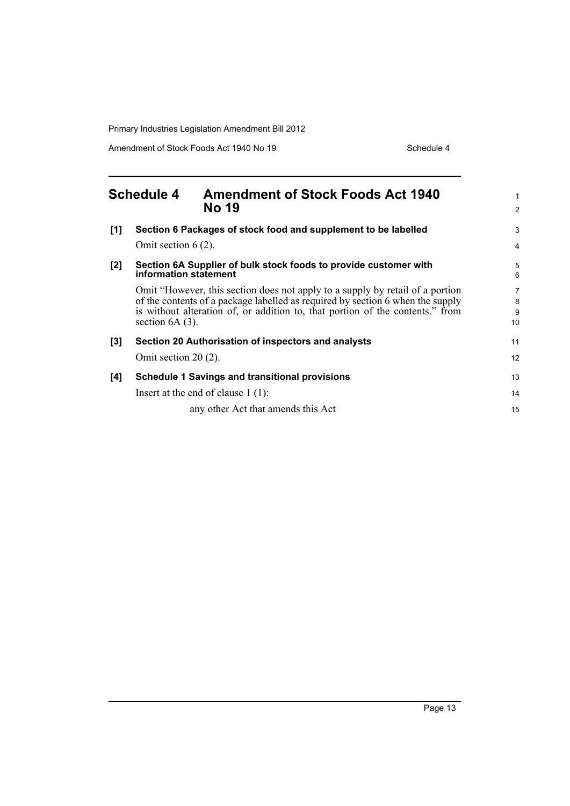Amendment of Stock Foods Act 1940 No 19 Schedule 4

<span id="page-20-0"></span>

| <b>Schedule 4</b> |                                                                                           | <b>Amendment of Stock Foods Act 1940</b><br><b>No 19</b>                                                                                                                                                                                         | $\mathbf{1}$<br>$\overline{2}$ |
|-------------------|-------------------------------------------------------------------------------------------|--------------------------------------------------------------------------------------------------------------------------------------------------------------------------------------------------------------------------------------------------|--------------------------------|
| [1]               | Omit section $6(2)$ .                                                                     | Section 6 Packages of stock food and supplement to be labelled                                                                                                                                                                                   | 3<br>$\overline{4}$            |
| $[2]$             | Section 6A Supplier of bulk stock foods to provide customer with<br>information statement |                                                                                                                                                                                                                                                  | 5<br>6                         |
|                   | section $6A(3)$ .                                                                         | Omit "However, this section does not apply to a supply by retail of a portion<br>of the contents of a package labelled as required by section 6 when the supply<br>is without alteration of, or addition to, that portion of the contents." from | 7<br>8<br>9<br>10              |
| $[3]$             |                                                                                           | Section 20 Authorisation of inspectors and analysts                                                                                                                                                                                              | 11                             |
|                   | Omit section $20(2)$ .                                                                    |                                                                                                                                                                                                                                                  | 12                             |
| [4]               |                                                                                           | Schedule 1 Savings and transitional provisions                                                                                                                                                                                                   | 13                             |
|                   |                                                                                           | Insert at the end of clause $1(1)$ :                                                                                                                                                                                                             | 14                             |
|                   |                                                                                           | any other Act that amends this Act                                                                                                                                                                                                               | 15                             |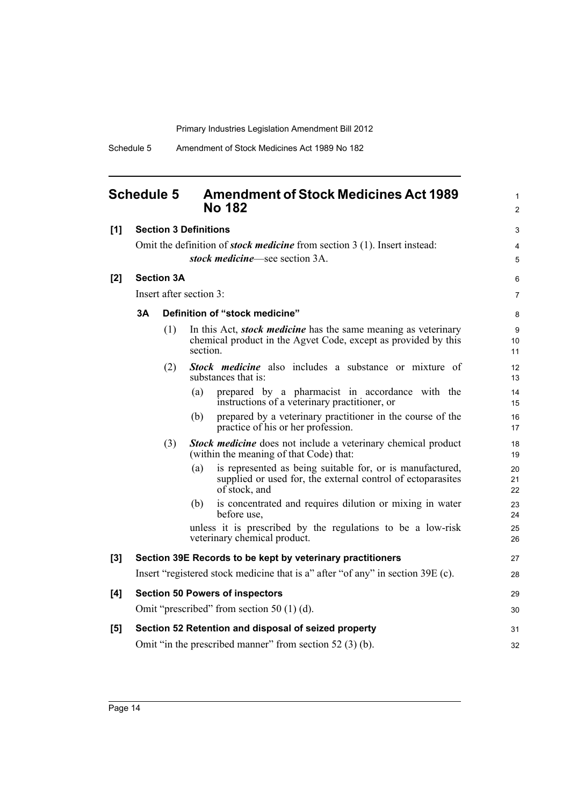## <span id="page-21-0"></span>**Schedule 5 Amendment of Stock Medicines Act 1989 No 182** 2

| [1] |    |                   | <b>Section 3 Definitions</b> |                                                                                                                                           | 3              |
|-----|----|-------------------|------------------------------|-------------------------------------------------------------------------------------------------------------------------------------------|----------------|
|     |    |                   |                              | Omit the definition of <i>stock medicine</i> from section 3 (1). Insert instead:                                                          | 4              |
|     |    |                   |                              | stock medicine—see section 3A.                                                                                                            | 5              |
| [2] |    | <b>Section 3A</b> |                              |                                                                                                                                           | 6              |
|     |    |                   | Insert after section 3:      |                                                                                                                                           | $\overline{7}$ |
|     | 3A |                   |                              | Definition of "stock medicine"                                                                                                            | 8              |
|     |    | (1)               | section.                     | In this Act, <i>stock medicine</i> has the same meaning as veterinary<br>chemical product in the Agvet Code, except as provided by this   | 9<br>10<br>11  |
|     |    | (2)               |                              | <b>Stock medicine</b> also includes a substance or mixture of<br>substances that is:                                                      | 12<br>13       |
|     |    |                   | (a)                          | prepared by a pharmacist in accordance with the<br>instructions of a veterinary practitioner, or                                          | 14<br>15       |
|     |    |                   | (b)                          | prepared by a veterinary practitioner in the course of the<br>practice of his or her profession.                                          | 16<br>17       |
|     |    | (3)               |                              | <b>Stock medicine</b> does not include a veterinary chemical product<br>(within the meaning of that Code) that:                           | 18<br>19       |
|     |    |                   | (a)                          | is represented as being suitable for, or is manufactured,<br>supplied or used for, the external control of ectoparasites<br>of stock, and | 20<br>21<br>22 |
|     |    |                   | (b)                          | is concentrated and requires dilution or mixing in water<br>before use,                                                                   | 23<br>24       |
|     |    |                   |                              | unless it is prescribed by the regulations to be a low-risk<br>veterinary chemical product.                                               | 25<br>26       |
| [3] |    |                   |                              | Section 39E Records to be kept by veterinary practitioners                                                                                | 27             |
|     |    |                   |                              | Insert "registered stock medicine that is a" after "of any" in section 39E (c).                                                           | 28             |
| [4] |    |                   |                              | <b>Section 50 Powers of inspectors</b>                                                                                                    | 29             |
|     |    |                   |                              | Omit "prescribed" from section 50 $(1)$ $(d)$ .                                                                                           | 30             |
| [5] |    |                   |                              | Section 52 Retention and disposal of seized property                                                                                      | 31             |
|     |    |                   |                              | Omit "in the prescribed manner" from section $52(3)(b)$ .                                                                                 | 32             |